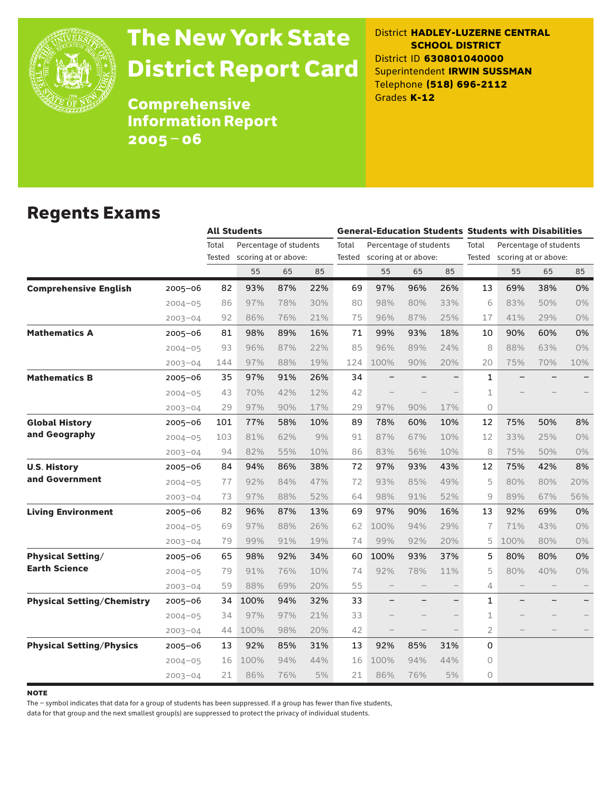

# The New York State District Report Card

District **HADLEY-LUZERNE CENTRAL SCHOOL DISTRICT** District ID **630801040000** Superintendent **IRWIN SUSSMAN** Telephone **(518) 696-2112** Grades **K-12**

Comprehensive Information Report 2005–06

#### Regents Exams

|                                   |             |        | <b>All Students</b>    |     |     |       | <b>General-Education Students Students with Disabilities</b> |     |                   |                                                                |      |     |       |  |
|-----------------------------------|-------------|--------|------------------------|-----|-----|-------|--------------------------------------------------------------|-----|-------------------|----------------------------------------------------------------|------|-----|-------|--|
|                                   |             | Total  | Percentage of students |     |     | Total | Percentage of students                                       |     |                   | Total<br>Percentage of students<br>Tested scoring at or above: |      |     |       |  |
|                                   |             | Tested | scoring at or above:   |     |     |       | Tested scoring at or above:                                  |     |                   |                                                                |      |     |       |  |
|                                   |             |        | 55                     | 65  | 85  |       | 55                                                           | 65  | 85                |                                                                | 55   | 65  | 85    |  |
| <b>Comprehensive English</b>      | $2005 - 06$ | 82     | 93%                    | 87% | 22% | 69    | 97%                                                          | 96% | 26%               | 13                                                             | 69%  | 38% | 0%    |  |
|                                   | $2004 - 05$ | 86     | 97%                    | 78% | 30% | 80    | 98%                                                          | 80% | 33%               | 6                                                              | 83%  | 50% | 0%    |  |
|                                   | $2003 - 04$ | 92     | 86%                    | 76% | 21% | 75    | 96%                                                          | 87% | 25%               | 17                                                             | 41%  | 29% | $0\%$ |  |
| <b>Mathematics A</b>              | 2005-06     | 81     | 98%                    | 89% | 16% | 71    | 99%                                                          | 93% | 18%               | 10                                                             | 90%  | 60% | 0%    |  |
|                                   | $2004 - 05$ | 93     | 96%                    | 87% | 22% | 85    | 96%                                                          | 89% | 24%               | 8                                                              | 88%  | 63% | $0\%$ |  |
|                                   | $2003 - 04$ | 144    | 97%                    | 88% | 19% | 124   | 100%                                                         | 90% | 20%               | 20                                                             | 75%  | 70% | 10%   |  |
| <b>Mathematics B</b>              | $2005 - 06$ | 35     | 97%                    | 91% | 26% | 34    | $\overline{\phantom{m}}$                                     |     | $\qquad \qquad -$ | $\mathbf{1}$                                                   |      |     |       |  |
|                                   | $2004 - 05$ | 43     | 70%                    | 42% | 12% | 42    |                                                              |     |                   | $\mathbf 1$                                                    |      |     |       |  |
|                                   | $2003 - 04$ | 29     | 97%                    | 90% | 17% | 29    | 97%                                                          | 90% | 17%               | 0                                                              |      |     |       |  |
| <b>Global History</b>             | $2005 - 06$ | 101    | 77%                    | 58% | 10% | 89    | 78%                                                          | 60% | 10%               | 12                                                             | 75%  | 50% | 8%    |  |
| and Geography                     | $2004 - 05$ | 103    | 81%                    | 62% | 9%  | 91    | 87%                                                          | 67% | 10%               | 12                                                             | 33%  | 25% | 0%    |  |
|                                   | $2003 - 04$ | 94     | 82%                    | 55% | 10% | 86    | 83%                                                          | 56% | 10%               | 8                                                              | 75%  | 50% | $0\%$ |  |
| <b>U.S. History</b>               | $2005 - 06$ | 84     | 94%                    | 86% | 38% | 72    | 97%                                                          | 93% | 43%               | 12                                                             | 75%  | 42% | 8%    |  |
| and Government                    | $2004 - 05$ | 77     | 92%                    | 84% | 47% | 72    | 93%                                                          | 85% | 49%               | 5                                                              | 80%  | 80% | 20%   |  |
|                                   | $2003 - 04$ | 73     | 97%                    | 88% | 52% | 64    | 98%                                                          | 91% | 52%               | 9                                                              | 89%  | 67% | 56%   |  |
| <b>Living Environment</b>         | 2005-06     | 82     | 96%                    | 87% | 13% | 69    | 97%                                                          | 90% | 16%               | 13                                                             | 92%  | 69% | 0%    |  |
|                                   | $2004 - 05$ | 69     | 97%                    | 88% | 26% | 62    | 100%                                                         | 94% | 29%               | $\overline{1}$                                                 | 71%  | 43% | 0%    |  |
|                                   | $2003 - 04$ | 79     | 99%                    | 91% | 19% | 74    | 99%                                                          | 92% | 20%               | 5                                                              | 100% | 80% | 0%    |  |
| <b>Physical Setting/</b>          | 2005-06     | 65     | 98%                    | 92% | 34% | 60    | 100%                                                         | 93% | 37%               | 5                                                              | 80%  | 80% | 0%    |  |
| <b>Earth Science</b>              | $2004 - 05$ | 79     | 91%                    | 76% | 10% | 74    | 92%                                                          | 78% | 11%               | 5                                                              | 80%  | 40% | 0%    |  |
|                                   | $2003 - 04$ | 59     | 88%                    | 69% | 20% | 55    |                                                              |     |                   | 4                                                              |      |     |       |  |
| <b>Physical Setting/Chemistry</b> | $2005 - 06$ | 34     | 100%                   | 94% | 32% | 33    |                                                              |     |                   | $\mathbf{1}$                                                   |      |     |       |  |
|                                   | $2004 - 05$ | 34     | 97%                    | 97% | 21% | 33    |                                                              |     |                   | 1                                                              |      |     |       |  |
|                                   | $2003 - 04$ | 44     | 100%                   | 98% | 20% | 42    |                                                              |     |                   | $\overline{2}$                                                 |      |     |       |  |
| <b>Physical Setting/Physics</b>   | 2005-06     | 13     | 92%                    | 85% | 31% | 13    | 92%                                                          | 85% | 31%               | 0                                                              |      |     |       |  |
|                                   | $2004 - 05$ | 16     | 100%                   | 94% | 44% | 16    | 100%                                                         | 94% | 44%               | 0                                                              |      |     |       |  |
|                                   | $2003 - 04$ | 21     | 86%                    | 76% | 5%  | 21    | 86%                                                          | 76% | 5%                | $\overline{0}$                                                 |      |     |       |  |

**NOTE** 

The – symbol indicates that data for a group of students has been suppressed. If a group has fewer than five students,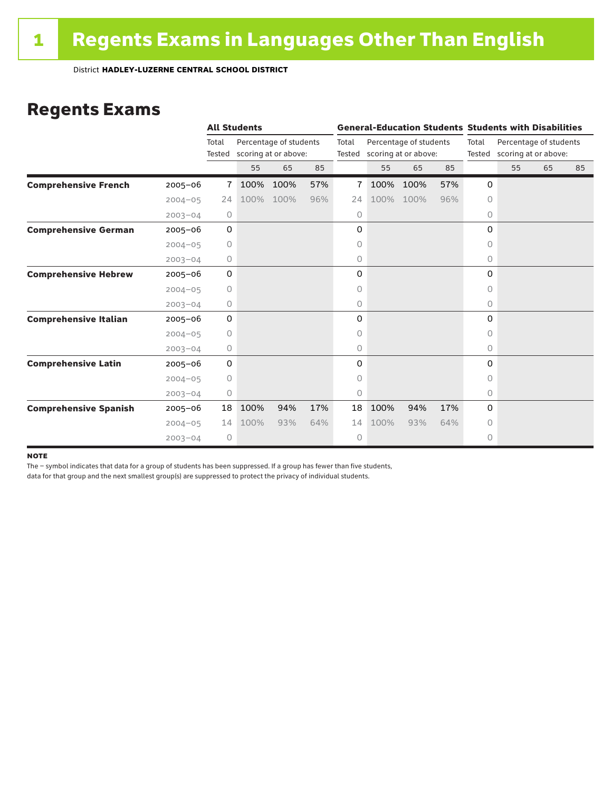#### Regents Exams

|                              |             |             | <b>All Students</b> |                             |     |       | <b>General-Education Students Students with Disabilities</b> |                        |     |          |                             |    |    |  |
|------------------------------|-------------|-------------|---------------------|-----------------------------|-----|-------|--------------------------------------------------------------|------------------------|-----|----------|-----------------------------|----|----|--|
|                              |             | Total       |                     | Percentage of students      |     | Total |                                                              | Percentage of students |     | Total    | Percentage of students      |    |    |  |
|                              |             |             |                     | Tested scoring at or above: |     |       | Tested scoring at or above:                                  |                        |     |          | Tested scoring at or above: |    |    |  |
|                              |             |             | 55                  | 65                          | 85  |       | 55                                                           | 65                     | 85  |          | 55                          | 65 | 85 |  |
| <b>Comprehensive French</b>  | $2005 - 06$ | 7           | 100%                | 100%                        | 57% | 7     | 100%                                                         | 100%                   | 57% | 0        |                             |    |    |  |
|                              | $2004 - 05$ | 24          | 100%                | 100%                        | 96% | 24    | 100%                                                         | 100%                   | 96% | $\circ$  |                             |    |    |  |
|                              | $2003 - 04$ | 0           |                     |                             |     | 0     |                                                              |                        |     | 0        |                             |    |    |  |
| <b>Comprehensive German</b>  | $2005 - 06$ | $\mathbf 0$ |                     |                             |     | 0     |                                                              |                        |     | 0        |                             |    |    |  |
|                              | $2004 - 05$ | 0           |                     |                             |     | 0     |                                                              |                        |     | 0        |                             |    |    |  |
|                              | $2003 - 04$ | 0           |                     |                             |     | 0     |                                                              |                        |     | 0        |                             |    |    |  |
| <b>Comprehensive Hebrew</b>  | $2005 - 06$ | $\mathbf 0$ |                     |                             |     | 0     |                                                              |                        |     | $\Omega$ |                             |    |    |  |
|                              | $2004 - 05$ | $\circ$     |                     |                             |     | 0     |                                                              |                        |     | $\Omega$ |                             |    |    |  |
|                              | $2003 - 04$ | 0           |                     |                             |     | 0     |                                                              |                        |     | $\circ$  |                             |    |    |  |
| <b>Comprehensive Italian</b> | $2005 - 06$ | $\mathbf 0$ |                     |                             |     | 0     |                                                              |                        |     | 0        |                             |    |    |  |
|                              | $2004 - 05$ | $\circ$     |                     |                             |     | 0     |                                                              |                        |     | $\Omega$ |                             |    |    |  |
|                              | $2003 - 04$ | 0           |                     |                             |     | 0     |                                                              |                        |     | $\circ$  |                             |    |    |  |
| <b>Comprehensive Latin</b>   | $2005 - 06$ | 0           |                     |                             |     | 0     |                                                              |                        |     | 0        |                             |    |    |  |
|                              | $2004 - 05$ | 0           |                     |                             |     | 0     |                                                              |                        |     | 0        |                             |    |    |  |
|                              | $2003 - 04$ | 0           |                     |                             |     | 0     |                                                              |                        |     | $\circ$  |                             |    |    |  |
| <b>Comprehensive Spanish</b> | $2005 - 06$ | 18          | 100%                | 94%                         | 17% | 18    | 100%                                                         | 94%                    | 17% | $\Omega$ |                             |    |    |  |
|                              | $2004 - 05$ | 14          | 100%                | 93%                         | 64% | 14    | 100%                                                         | 93%                    | 64% | $\Omega$ |                             |    |    |  |
|                              | $2003 - 04$ | $\circ$     |                     |                             |     | 0     |                                                              |                        |     | 0        |                             |    |    |  |

#### **NOTE**

The – symbol indicates that data for a group of students has been suppressed. If a group has fewer than five students,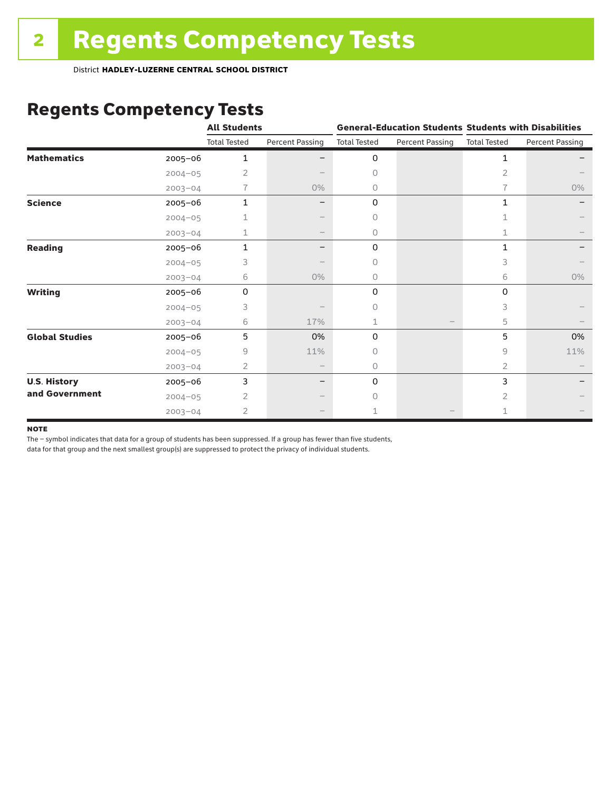## Regents Competency Tests

|                       |             | <b>All Students</b> |                        |                     |                        | <b>General-Education Students Students with Disabilities</b> |                 |  |
|-----------------------|-------------|---------------------|------------------------|---------------------|------------------------|--------------------------------------------------------------|-----------------|--|
|                       |             | <b>Total Tested</b> | <b>Percent Passing</b> | <b>Total Tested</b> | <b>Percent Passing</b> | <b>Total Tested</b>                                          | Percent Passing |  |
| <b>Mathematics</b>    | 2005-06     | 1                   |                        | 0                   |                        | 1                                                            |                 |  |
|                       | $2004 - 05$ | 2                   |                        | 0                   |                        | 2                                                            |                 |  |
|                       | $2003 - 04$ | 7.                  | 0%                     | 0                   |                        | 7                                                            | $0\%$           |  |
| <b>Science</b>        | 2005-06     | 1                   |                        | 0                   |                        | 1                                                            |                 |  |
|                       | $2004 - 05$ |                     |                        | 0                   |                        |                                                              |                 |  |
|                       | $2003 - 04$ | 1                   |                        | 0                   |                        |                                                              |                 |  |
| <b>Reading</b>        | 2005-06     | 1                   |                        | 0                   |                        | 1                                                            |                 |  |
|                       | $2004 - 05$ | 3                   |                        | 0                   |                        | 3                                                            |                 |  |
|                       | $2003 - 04$ | 6                   | 0%                     | 0                   |                        | 6                                                            | $0\%$           |  |
| <b>Writing</b>        | 2005-06     | $\Omega$            |                        | 0                   |                        | $\Omega$                                                     |                 |  |
|                       | $2004 - 05$ | 3                   |                        | $\bigcap$           |                        | 3                                                            |                 |  |
|                       | $2003 - 04$ | 6                   | 17%                    | 1                   |                        | 5                                                            |                 |  |
| <b>Global Studies</b> | 2005-06     | 5                   | 0%                     | 0                   |                        | 5                                                            | 0%              |  |
|                       | $2004 - 05$ | 9                   | 11%                    | 0                   |                        | 9                                                            | 11%             |  |
|                       | $2003 - 04$ | 2                   |                        | 0                   |                        | 2                                                            |                 |  |
| <b>U.S. History</b>   | 2005-06     | 3                   |                        | 0                   |                        | 3                                                            |                 |  |
| and Government        | $2004 - 05$ | 2                   |                        | $\bigcap$           |                        | 2                                                            |                 |  |
|                       | $2003 - 04$ | 2                   |                        | 1                   |                        |                                                              |                 |  |

#### **NOTE**

The – symbol indicates that data for a group of students has been suppressed. If a group has fewer than five students,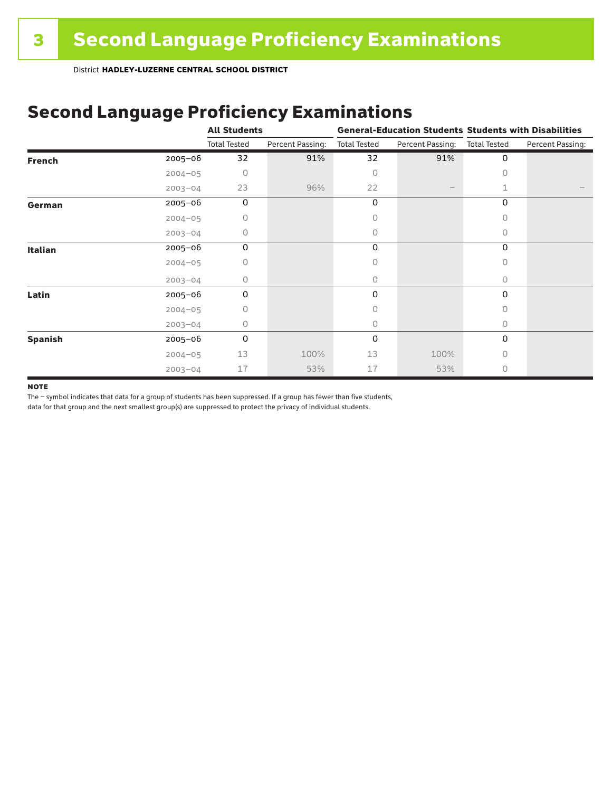## Second Language Proficiency Examinations

|                |             | <b>All Students</b> |                  | <b>General-Education Students Students with Disabilities</b> |                  |                     |                  |  |
|----------------|-------------|---------------------|------------------|--------------------------------------------------------------|------------------|---------------------|------------------|--|
|                |             | <b>Total Tested</b> | Percent Passing: | <b>Total Tested</b>                                          | Percent Passing: | <b>Total Tested</b> | Percent Passing: |  |
| <b>French</b>  | $2005 - 06$ | 32                  | 91%              | 32                                                           | 91%              | 0                   |                  |  |
|                | $2004 - 05$ | $\Omega$            |                  | 0                                                            |                  | Ω                   |                  |  |
|                | $2003 - 04$ | 23                  | 96%              | 22                                                           |                  |                     |                  |  |
| German         | 2005-06     | 0                   |                  | 0                                                            |                  | 0                   |                  |  |
|                | $2004 - 05$ | 0                   |                  | 0                                                            |                  | 0                   |                  |  |
|                | $2003 - 04$ | 0                   |                  | 0                                                            |                  | 0                   |                  |  |
| Italian        | 2005-06     | 0                   |                  | 0                                                            |                  | 0                   |                  |  |
|                | $2004 - 05$ | 0                   |                  | 0                                                            |                  | U                   |                  |  |
|                | $2003 - 04$ | 0                   |                  | 0                                                            |                  | 0                   |                  |  |
| Latin          | 2005-06     | 0                   |                  | 0                                                            |                  | 0                   |                  |  |
|                | $2004 - 05$ | O                   |                  | 0                                                            |                  | O                   |                  |  |
|                | $2003 - 04$ | 0                   |                  | 0                                                            |                  | 0                   |                  |  |
| <b>Spanish</b> | 2005-06     | 0                   |                  | 0                                                            |                  | 0                   |                  |  |
|                | $2004 - 05$ | 13                  | 100%             | 13                                                           | 100%             | 0                   |                  |  |
|                | $2003 - 04$ | 17                  | 53%              | 17                                                           | 53%              | 0                   |                  |  |

#### **NOTE**

The – symbol indicates that data for a group of students has been suppressed. If a group has fewer than five students,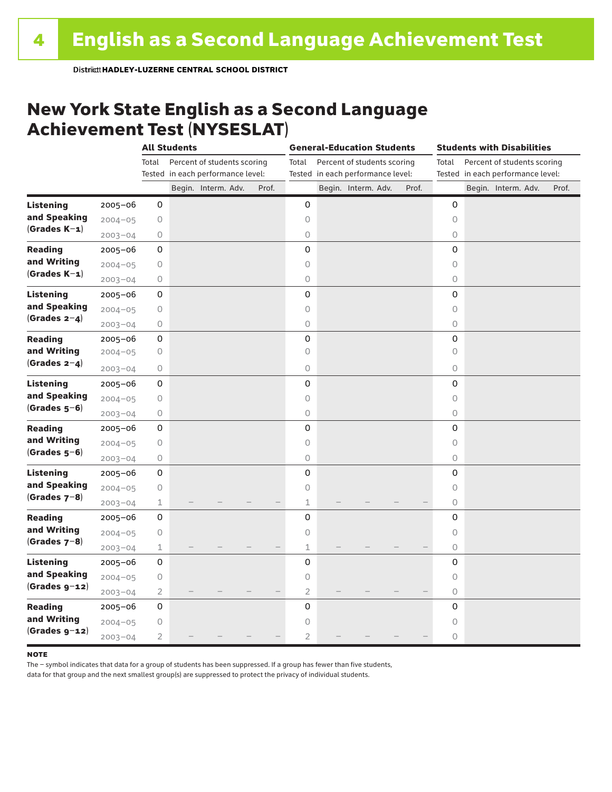#### New York State English as a Second Language Achievement Test (NYSESLAT)

|                  |             |                | <b>All Students</b> |                                   |  |       | <b>General-Education Students</b> |  |                                   |  | <b>Students with Disabilities</b> |                                                                           |  |                     |  |       |
|------------------|-------------|----------------|---------------------|-----------------------------------|--|-------|-----------------------------------|--|-----------------------------------|--|-----------------------------------|---------------------------------------------------------------------------|--|---------------------|--|-------|
|                  |             | Total          |                     | Percent of students scoring       |  |       | Total                             |  | Percent of students scoring       |  |                                   | Percent of students scoring<br>Total<br>Tested in each performance level: |  |                     |  |       |
|                  |             |                |                     | Tested in each performance level: |  |       |                                   |  | Tested in each performance level: |  |                                   |                                                                           |  |                     |  |       |
|                  |             |                |                     | Begin. Interm. Adv.               |  | Prof. |                                   |  | Begin. Interm. Adv.               |  | Prof.                             |                                                                           |  | Begin. Interm. Adv. |  | Prof. |
| <b>Listening</b> | 2005-06     | 0              |                     |                                   |  |       | 0                                 |  |                                   |  |                                   | 0                                                                         |  |                     |  |       |
| and Speaking     | $2004 - 05$ | $\bigcirc$     |                     |                                   |  |       | 0                                 |  |                                   |  |                                   | 0                                                                         |  |                     |  |       |
| $(Grades K-1)$   | $2003 - 04$ | 0              |                     |                                   |  |       | $\circ$                           |  |                                   |  |                                   | $\circ$                                                                   |  |                     |  |       |
| <b>Reading</b>   | $2005 - 06$ | 0              |                     |                                   |  |       | 0                                 |  |                                   |  |                                   | 0                                                                         |  |                     |  |       |
| and Writing      | $2004 - 05$ | $\mathsf O$    |                     |                                   |  |       | 0                                 |  |                                   |  |                                   | $\circ$                                                                   |  |                     |  |       |
| $(Grades K-1)$   | $2003 - 04$ | $\bigcirc$     |                     |                                   |  |       | $\bigcirc$                        |  |                                   |  |                                   | $\circlearrowright$                                                       |  |                     |  |       |
| <b>Listening</b> | $2005 - 06$ | 0              |                     |                                   |  |       | 0                                 |  |                                   |  |                                   | 0                                                                         |  |                     |  |       |
| and Speaking     | $2004 - 05$ | $\mathsf O$    |                     |                                   |  |       | $\mathsf O$                       |  |                                   |  |                                   | $\circ$                                                                   |  |                     |  |       |
| $(Grades 2-4)$   | $2003 - 04$ | 0              |                     |                                   |  |       | $\bigcirc$                        |  |                                   |  |                                   | $\circ$                                                                   |  |                     |  |       |
| <b>Reading</b>   | $2005 - 06$ | 0              |                     |                                   |  |       | 0                                 |  |                                   |  |                                   | 0                                                                         |  |                     |  |       |
| and Writing      | $2004 - 05$ | 0              |                     |                                   |  |       | 0                                 |  |                                   |  |                                   | 0                                                                         |  |                     |  |       |
| (Grades $2-4$ )  | $2003 - 04$ | 0              |                     |                                   |  |       | 0                                 |  |                                   |  |                                   | 0                                                                         |  |                     |  |       |
| <b>Listening</b> | $2005 - 06$ | 0              |                     |                                   |  |       | 0                                 |  |                                   |  |                                   | 0                                                                         |  |                     |  |       |
| and Speaking     | $2004 - 05$ | $\bigcirc$     |                     |                                   |  |       | 0                                 |  |                                   |  |                                   | $\circ$                                                                   |  |                     |  |       |
| $(Grades 5-6)$   | $2003 - 04$ | $\bigcirc$     |                     |                                   |  |       | 0                                 |  |                                   |  |                                   | $\circlearrowright$                                                       |  |                     |  |       |
| <b>Reading</b>   | $2005 - 06$ | 0              |                     |                                   |  |       | 0                                 |  |                                   |  |                                   | 0                                                                         |  |                     |  |       |
| and Writing      | $2004 - 05$ | 0              |                     |                                   |  |       | 0                                 |  |                                   |  |                                   | 0                                                                         |  |                     |  |       |
| $(Grades 5-6)$   | $2003 - 04$ | 0              |                     |                                   |  |       | $\bigcirc$                        |  |                                   |  |                                   | 0                                                                         |  |                     |  |       |
| <b>Listening</b> | $2005 - 06$ | 0              |                     |                                   |  |       | 0                                 |  |                                   |  |                                   | 0                                                                         |  |                     |  |       |
| and Speaking     | $2004 - 05$ | $\bigcirc$     |                     |                                   |  |       | $\mathsf O$                       |  |                                   |  |                                   | 0                                                                         |  |                     |  |       |
| $(Grades 7-8)$   | $2003 - 04$ | $\mathbf 1$    |                     |                                   |  |       | 1                                 |  |                                   |  |                                   | $\circ$                                                                   |  |                     |  |       |
| <b>Reading</b>   | $2005 - 06$ | 0              |                     |                                   |  |       | 0                                 |  |                                   |  |                                   | $\mathbf 0$                                                               |  |                     |  |       |
| and Writing      | $2004 - 05$ | $\bigcirc$     |                     |                                   |  |       | $\circ$                           |  |                                   |  |                                   | $\circ$                                                                   |  |                     |  |       |
| (Grades $7-8$ )  | $2003 - 04$ | $\mathbf 1$    |                     |                                   |  |       | 1                                 |  |                                   |  |                                   | $\bigcirc$                                                                |  |                     |  |       |
| <b>Listening</b> | 2005-06     | 0              |                     |                                   |  |       | 0                                 |  |                                   |  |                                   | 0                                                                         |  |                     |  |       |
| and Speaking     | $2004 - 05$ | $\bigcirc$     |                     |                                   |  |       | 0                                 |  |                                   |  |                                   | $\circ$                                                                   |  |                     |  |       |
| $(Grades g-12)$  | $2003 - 04$ | $\overline{2}$ |                     |                                   |  |       | $\overline{2}$                    |  |                                   |  |                                   | $\circ$                                                                   |  |                     |  |       |
| <b>Reading</b>   | $2005 - 06$ | 0              |                     |                                   |  |       | 0                                 |  |                                   |  |                                   | 0                                                                         |  |                     |  |       |
| and Writing      | $2004 - 05$ | 0              |                     |                                   |  |       | 0                                 |  |                                   |  |                                   | 0                                                                         |  |                     |  |       |
| $(Grades g-12)$  | $2003 - 04$ | 2              |                     |                                   |  |       | $\overline{2}$                    |  |                                   |  |                                   | 0                                                                         |  |                     |  |       |

#### **NOTE**

The – symbol indicates that data for a group of students has been suppressed. If a group has fewer than five students,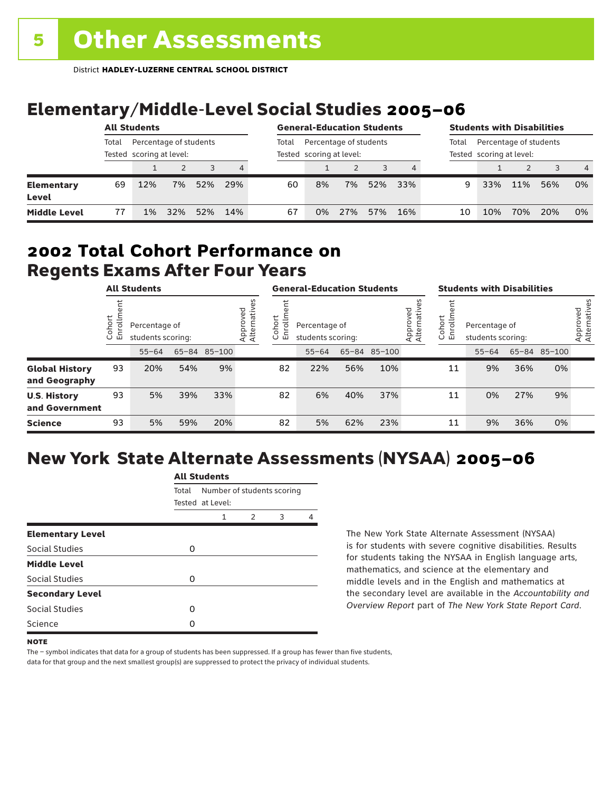# Elementary/Middle-Level Social Studies 2005–06

|                            | <b>All Students</b>                                         |     |     |       |                                                    | <b>General-Education Students</b> |    |     |                                                             | <b>Students with Disabilities</b> |    |     |     |     |                |
|----------------------------|-------------------------------------------------------------|-----|-----|-------|----------------------------------------------------|-----------------------------------|----|-----|-------------------------------------------------------------|-----------------------------------|----|-----|-----|-----|----------------|
|                            | Percentage of students<br>Total<br>Tested scoring at level: |     |     | Total | Percentage of students<br>Tested scoring at level: |                                   |    |     | Percentage of students<br>Total<br>Tested scoring at level: |                                   |    |     |     |     |                |
|                            |                                                             |     |     |       | 4                                                  |                                   |    |     |                                                             |                                   |    |     |     |     | $\overline{4}$ |
| <b>Elementary</b><br>Level | 69                                                          | 12% | 7%  | 52%   | 29%                                                | 60                                | 8% | 7%  | 52%                                                         | 33%                               | 9  | 33% | 11% | 56% | 0%             |
| <b>Middle Level</b>        | 77                                                          | 1%  | 32% | 52%   | 14%                                                | 67                                | 0% | 27% | 57%                                                         | 16%                               | 10 | 10% | 70% | 20% | 0%             |

#### Regents Exams After Four Years 2002 **Total Cohort Performance on**

| <b>All Students</b>                    |                      |                                                    |     | <b>General-Education Students</b> |                         |                      |                                    |     | <b>Students with Disabilities</b> |                         |                  |                                    |     |              |                          |
|----------------------------------------|----------------------|----------------------------------------------------|-----|-----------------------------------|-------------------------|----------------------|------------------------------------|-----|-----------------------------------|-------------------------|------------------|------------------------------------|-----|--------------|--------------------------|
|                                        | ohort<br>S<br>ပ<br>ш | Percentage of<br>students scoring:<br>65-84 85-100 |     |                                   | Approved<br>Alternative | Cohort<br>rolln<br>띧 | Percentage of<br>students scoring: |     |                                   | Approved<br>Alternative | Cohort<br>S<br>훕 | Percentage of<br>students scoring: |     |              | Approved<br>Alternatives |
|                                        |                      | $55 - 64$                                          |     |                                   |                         |                      | $55 - 64$                          |     | 65-84 85-100                      |                         |                  | $55 - 64$                          |     | 65-84 85-100 |                          |
| <b>Global History</b><br>and Geography | 93                   | 20%                                                | 54% | 9%                                |                         | 82                   | 22%                                | 56% | 10%                               |                         | 11               | 9%                                 | 36% | 0%           |                          |
| <b>U.S. History</b><br>and Government  | 93                   | 5%                                                 | 39% | 33%                               |                         | 82                   | 6%                                 | 40% | 37%                               |                         | 11               | 0%                                 | 27% | 9%           |                          |
| <b>Science</b>                         | 93                   | 5%                                                 | 59% | 20%                               |                         | 82                   | 5%                                 | 62% | 23%                               |                         | 11               | 9%                                 | 36% | 0%           |                          |

# New York State Alternate Assessments (NYSAA) 2005–06

|                         | All Students |                                                |               |   |   |  |  |  |  |
|-------------------------|--------------|------------------------------------------------|---------------|---|---|--|--|--|--|
|                         | Total        | Number of students scoring<br>Tested at Level: |               |   |   |  |  |  |  |
|                         |              | 1                                              | $\mathcal{P}$ | 3 | Δ |  |  |  |  |
| <b>Elementary Level</b> |              |                                                |               |   |   |  |  |  |  |
| Social Studies          | 0            |                                                |               |   |   |  |  |  |  |
| <b>Middle Level</b>     |              |                                                |               |   |   |  |  |  |  |
| <b>Social Studies</b>   | O            |                                                |               |   |   |  |  |  |  |
| <b>Secondary Level</b>  |              |                                                |               |   |   |  |  |  |  |
| Social Studies          | ი            |                                                |               |   |   |  |  |  |  |
| Science                 | Ω            |                                                |               |   |   |  |  |  |  |
|                         |              |                                                |               |   |   |  |  |  |  |

All Canada

The New York State Alternate Assessment (NYSAA) is for students with severe cognitive disabilities. Results for students taking the NYSAA in English language arts, mathematics, and science at the elementary and middle levels and in the English and mathematics at the secondary level are available in the *Accountability and Overview Report* part of *The New York State Report Card*.

The – symbol indicates that data for a group of students has been suppressed. If a group has fewer than five students,

**NOTE**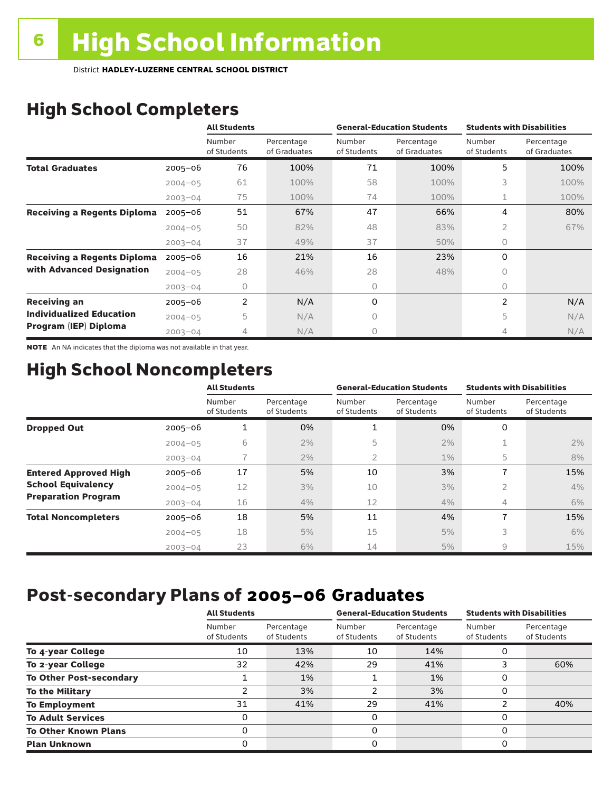# High School Completers

|                                    |             | <b>All Students</b>   |                            |                       | <b>General-Education Students</b> | <b>Students with Disabilities</b> |                            |  |
|------------------------------------|-------------|-----------------------|----------------------------|-----------------------|-----------------------------------|-----------------------------------|----------------------------|--|
|                                    |             | Number<br>of Students | Percentage<br>of Graduates | Number<br>of Students | Percentage<br>of Graduates        | Number<br>of Students             | Percentage<br>of Graduates |  |
| <b>Total Graduates</b>             | $2005 - 06$ | 76                    | 100%                       | 71                    | 100%                              | 5                                 | 100%                       |  |
|                                    | $2004 - 05$ | 61                    | 100%                       | 58                    | 100%                              | 3                                 | 100%                       |  |
|                                    | $2003 - 04$ | 75                    | 100%                       | 74                    | 100%                              |                                   | 100%                       |  |
| <b>Receiving a Regents Diploma</b> | $2005 - 06$ | 51                    | 67%                        | 47                    | 66%                               | 4                                 | 80%                        |  |
|                                    | $2004 - 05$ | 50                    | 82%                        | 48                    | 83%                               | $\overline{2}$                    | 67%                        |  |
|                                    | $2003 - 04$ | 37                    | 49%                        | 37                    | 50%                               | $\Omega$                          |                            |  |
| <b>Receiving a Regents Diploma</b> | $2005 - 06$ | 16                    | 21%                        | 16                    | 23%                               | $\Omega$                          |                            |  |
| with Advanced Designation          | $2004 - 05$ | 28                    | 46%                        | 28                    | 48%                               | 0                                 |                            |  |
|                                    | $2003 - 04$ | 0                     |                            | 0                     |                                   | $\bigcap$                         |                            |  |
| <b>Receiving an</b>                | $2005 - 06$ | $\overline{2}$        | N/A                        | 0                     |                                   | $\overline{2}$                    | N/A                        |  |
| <b>Individualized Education</b>    | $2004 - 05$ | 5                     | N/A                        | 0                     |                                   | 5                                 | N/A                        |  |
| Program (IEP) Diploma              | $2003 - 04$ | 4                     | N/A                        | 0                     |                                   | 4                                 | N/A                        |  |

NOTE An NA indicates that the diploma was not available in that year.

## High School Noncompleters

|                              |             | <b>All Students</b>   |                           |                       | <b>General-Education Students</b> | <b>Students with Disabilities</b> |                           |  |
|------------------------------|-------------|-----------------------|---------------------------|-----------------------|-----------------------------------|-----------------------------------|---------------------------|--|
|                              |             | Number<br>of Students | Percentage<br>of Students | Number<br>of Students | Percentage<br>of Students         | Number<br>of Students             | Percentage<br>of Students |  |
| <b>Dropped Out</b>           | $2005 - 06$ |                       | 0%                        | 1                     | 0%                                | 0                                 |                           |  |
|                              | $2004 - 05$ | 6                     | 2%                        | 5                     | 2%                                |                                   | 2%                        |  |
|                              | $2003 - 04$ |                       | 2%                        | 2                     | $1\%$                             | 5                                 | 8%                        |  |
| <b>Entered Approved High</b> | $2005 - 06$ | 17                    | 5%                        | 10                    | 3%                                | 7                                 | 15%                       |  |
| <b>School Equivalency</b>    | $2004 - 05$ | 12                    | 3%                        | 10                    | 3%                                | 2                                 | 4%                        |  |
| <b>Preparation Program</b>   | $2003 - 04$ | 16                    | 4%                        | 12                    | 4%                                | $\overline{4}$                    | 6%                        |  |
| <b>Total Noncompleters</b>   | $2005 - 06$ | 18                    | 5%                        | 11                    | 4%                                | 7                                 | 15%                       |  |
|                              | $2004 - 05$ | 18                    | 5%                        | 15                    | 5%                                | 3                                 | 6%                        |  |
|                              | $2003 - 04$ | 23                    | 6%                        | 14                    | 5%                                | 9                                 | 15%                       |  |

## Post-secondary Plans of 2005–06 **Graduates**

|                                | <b>All Students</b>   |                           |                       | <b>General-Education Students</b> | <b>Students with Disabilities</b> |                           |  |
|--------------------------------|-----------------------|---------------------------|-----------------------|-----------------------------------|-----------------------------------|---------------------------|--|
|                                | Number<br>of Students | Percentage<br>of Students | Number<br>of Students | Percentage<br>of Students         | Number<br>of Students             | Percentage<br>of Students |  |
| To 4-year College              | 10                    | 13%                       | 10                    | 14%                               | 0                                 |                           |  |
| To 2-year College              | 32                    | 42%                       | 29                    | 41%                               | 3                                 | 60%                       |  |
| <b>To Other Post-secondary</b> |                       | 1%                        |                       | 1%                                | 0                                 |                           |  |
| <b>To the Military</b>         | າ                     | 3%                        | 2                     | 3%                                | 0                                 |                           |  |
| <b>To Employment</b>           | 31                    | 41%                       | 29                    | 41%                               | 2                                 | 40%                       |  |
| <b>To Adult Services</b>       | 0                     |                           | 0                     |                                   | 0                                 |                           |  |
| <b>To Other Known Plans</b>    | 0                     |                           | 0                     |                                   | 0                                 |                           |  |
| <b>Plan Unknown</b>            | O                     |                           | 0                     |                                   | 0                                 |                           |  |